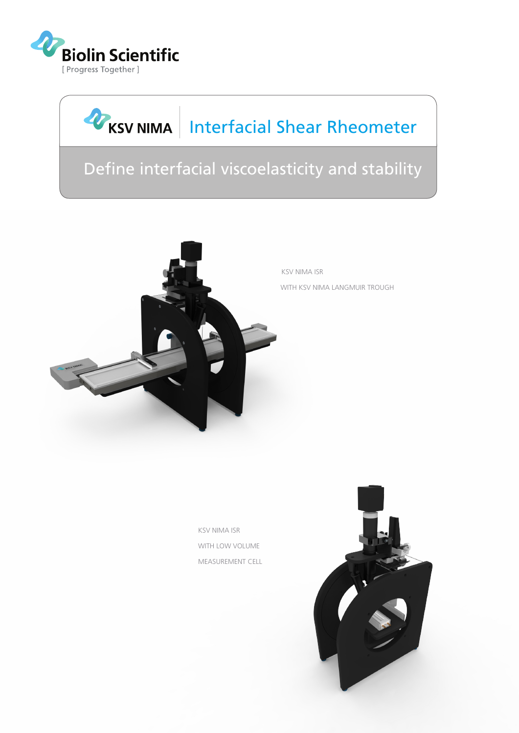

# KSV NIMA | Interfacial Shear Rheometer

# Define interfacial viscoelasticity and stability



KSV NIMA ISR WITH LOW VOLUME MEASUREMENT CELL

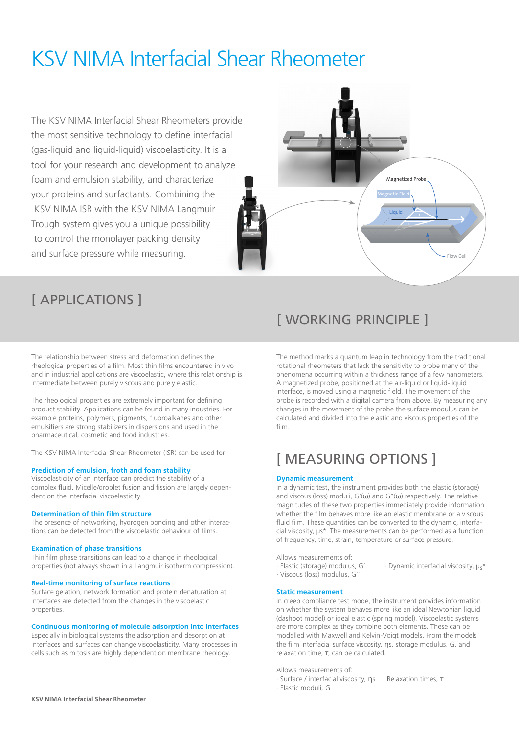# KSV NIMA Interfacial Shear Rheometer

The KSV NIMA Interfacial Shear Rheometers provide the most sensitive technology to define interfacial (gas-liquid and liquid-liquid) viscoelasticity. It is a tool for your research and development to analyze foam and emulsion stability, and characterize your proteins and surfactants. Combining the KSV NIMA ISR with the KSV NIMA Langmuir Trough system gives you a unique possibility to control the monolayer packing density and surface pressure while measuring.



## [ APPLICATIONS ]

The relationship between stress and deformation defines the rheological properties of a film. Most thin films encountered in vivo and in industrial applications are viscoelastic, where this relationship is intermediate between purely viscous and purely elastic.

The rheological properties are extremely important for defining product stability. Applications can be found in many industries. For example proteins, polymers, pigments, fluoroalkanes and other emulsifiers are strong stabilizers in dispersions and used in the pharmaceutical, cosmetic and food industries.

The KSV NIMA Interfacial Shear Rheometer (ISR) can be used for:

## **Prediction of emulsion, froth and foam stability**

Viscoelasticity of an interface can predict the stability of a complex fluid. Micelle/droplet fusion and fission are largely dependent on the interfacial viscoelasticity.

### **Determination of thin film structure**

The presence of networking, hydrogen bonding and other interactions can be detected from the viscoelastic behaviour of films.

## **Examination of phase transitions**

Thin film phase transitions can lead to a change in rheological properties (not always shown in a Langmuir isotherm compression).

#### **Real-time monitoring of surface reactions**

Surface gelation, network formation and protein denaturation at interfaces are detected from the changes in the viscoelastic properties.

### **Continuous monitoring of molecule adsorption into interfaces**

Especially in biological systems the adsorption and desorption at interfaces and surfaces can change viscoelasticity. Many processes in cells such as mitosis are highly dependent on membrane rheology.

## [ WORKING PRINCIPLE ]

The method marks a quantum leap in technology from the traditional rotational rheometers that lack the sensitivity to probe many of the phenomena occurring within a thickness range of a few nanometers. A magnetized probe, positioned at the air-liquid or liquid-liquid interface, is moved using a magnetic field. The movement of the probe is recorded with a digital camera from above. By measuring any changes in the movement of the probe the surface modulus can be calculated and divided into the elastic and viscous properties of the film.

## [ MEASURING OPTIONS ]

## **Dynamic measurement**

In a dynamic test, the instrument provides both the elastic (storage) and viscous (loss) moduli,  $G'(\omega)$  and  $G''(\omega)$  respectively. The relative magnitudes of these two properties immediately provide information whether the film behaves more like an elastic membrane or a viscous fluid film. These quantities can be converted to the dynamic, interfacial viscosity, μs\*. The measurements can be performed as a function of frequency, time, strain, temperature or surface pressure.

Allows measurements of:

- · Elastic (storage) modulus, G' · Dynamic interfacial viscosity, μ<sub>s</sub>\*
- · Viscous (loss) modulus, G''

## **Static measurement**

In creep compliance test mode, the instrument provides information on whether the system behaves more like an ideal Newtonian liquid (dashpot model) or ideal elastic (spring model). Viscoelastic systems are more complex as they combine both elements. These can be modelled with Maxwell and Kelvin-Voigt models. From the models the film interfacial surface viscosity, ηs, storage modulus, G, and relaxation time, τ, can be calculated.

Allows measurements of:

- · Surface / interfacial viscosity, ηs · Relaxation times, τ
- · Elastic moduli, G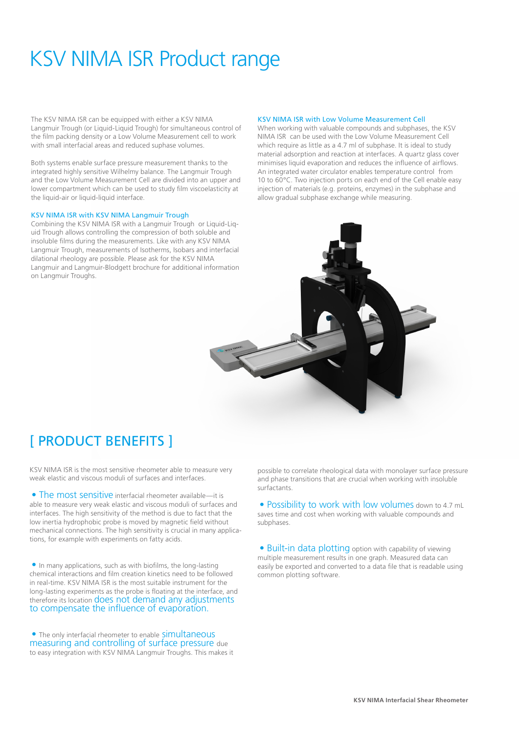# KSV NIMA ISR Product range

The KSV NIMA ISR can be equipped with either a KSV NIMA Langmuir Trough (or Liquid-Liquid Trough) for simultaneous control of the film packing density or a Low Volume Measurement cell to work with small interfacial areas and reduced suphase volumes.

Both systems enable surface pressure measurement thanks to the integrated highly sensitive Wilhelmy balance. The Langmuir Trough and the Low Volume Measurement Cell are divided into an upper and lower compartment which can be used to study film viscoelasticity at the liquid-air or liquid-liquid interface.

## KSV NIMA ISR with KSV NIMA Langmuir Trough

Combining the KSV NIMA ISR with a Langmuir Trough or Liquid-Liquid Trough allows controlling the compression of both soluble and insoluble films during the measurements. Like with any KSV NIMA Langmuir Trough, measurements of Isotherms, Isobars and interfacial dilational rheology are possible. Please ask for the KSV NIMA Langmuir and Langmuir-Blodgett brochure for additional information on Langmuir Troughs.

## KSV NIMA ISR with Low Volume Measurement Cell

When working with valuable compounds and subphases, the KSV NIMA ISR can be used with the Low Volume Measurement Cell which require as little as a 4.7 ml of subphase. It is ideal to study material adsorption and reaction at interfaces. A quartz glass cover minimises liquid evaporation and reduces the influence of airflows. An integrated water circulator enables temperature control from 10 to 60°C. Two injection ports on each end of the Cell enable easy injection of materials (e.g. proteins, enzymes) in the subphase and allow gradual subphase exchange while measuring.



## [ PRODUCT BENEFITS ]

KSV NIMA ISR is the most sensitive rheometer able to measure very weak elastic and viscous moduli of surfaces and interfaces.

• The most sensitive interfacial rheometer available—it is able to measure very weak elastic and viscous moduli of surfaces and interfaces. The high sensitivity of the method is due to fact that the low inertia hydrophobic probe is moved by magnetic field without mechanical connections. The high sensitivity is crucial in many applications, for example with experiments on fatty acids.

• In many applications, such as with biofilms, the long-lasting chemical interactions and film creation kinetics need to be followed in real-time. KSV NIMA ISR is the most suitable instrument for the long-lasting experiments as the probe is floating at the interface, and therefore its location does not demand any adjustments to compensate the influence of evaporation.

• The only interfacial rheometer to enable **Simultaneous** measuring and controlling of surface pressure due to easy integration with KSV NIMA Langmuir Troughs. This makes it possible to correlate rheological data with monolayer surface pressure and phase transitions that are crucial when working with insoluble surfactants.

• Possibility to work with low volumes down to 4.7 mL saves time and cost when working with valuable compounds and subphases.

• Built-in data plotting option with capability of viewing multiple measurement results in one graph. Measured data can easily be exported and converted to a data file that is readable using common plotting software.